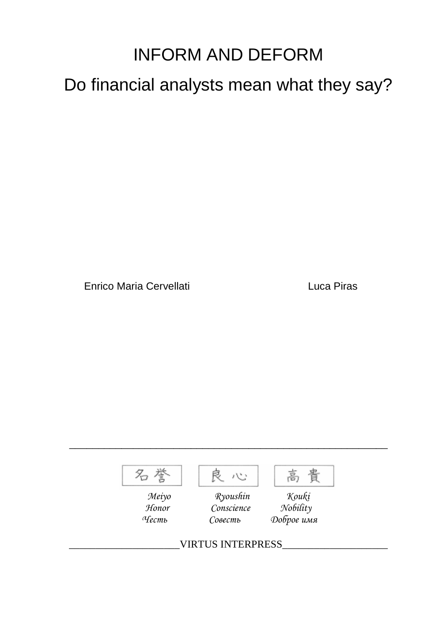## INFORM AND DEFORM

Do financial analysts mean what they say?

Enrico Maria Cervellati Luca Piras



\_\_\_\_\_\_\_\_\_\_\_\_\_\_\_\_\_\_\_\_\_\_\_\_\_\_\_\_\_\_\_\_\_\_\_\_\_\_\_\_\_\_\_\_\_\_\_\_\_\_\_\_\_\_\_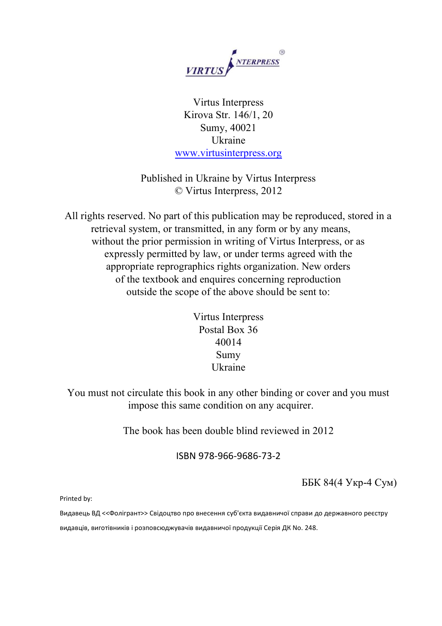

Virtus Interpress Kirova Str. 146/1, 20 Sumy, 40021 Ukraine [www.virtusinterpress.org](http://www.virtusinterpress.org/)

Published in Ukraine by Virtus Interpress © Virtus Interpress, 2012

All rights reserved. No part of this publication may be reproduced, stored in a retrieval system, or transmitted, in any form or by any means, without the prior permission in writing of Virtus Interpress, or as expressly permitted by law, or under terms agreed with the appropriate reprographics rights organization. New orders of the textbook and enquires concerning reproduction outside the scope of the above should be sent to:

| Virtus Interpress |
|-------------------|
| Postal Box 36     |
| 40014             |
| Sumy              |
| Ukraine           |

You must not circulate this book in any other binding or cover and you must impose this same condition on any acquirer.

The book has been double blind reviewed in 2012

ISBN 978-966-9686-73-2

ББК 84(4 Укр-4 Сум)

Printed by:

Видавець ВД <<Фолігрант>> Свідоцтво про внесення суб'єкта видавничої справи до державного реєстру

видавців, виготівників і розповсюджувачів видавничої продукції Серія ДК No. 248.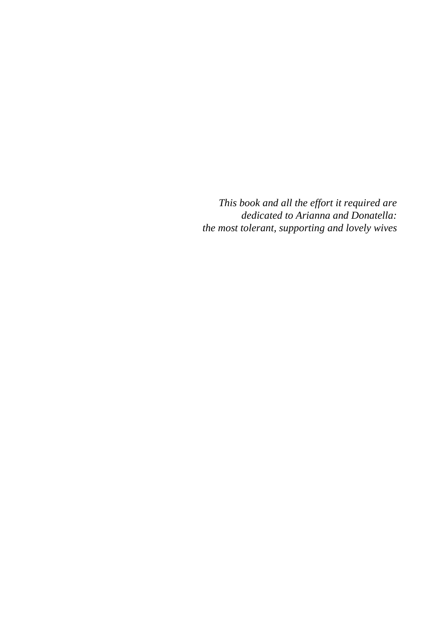*This book and all the effort it required are dedicated to Arianna and Donatella: the most tolerant, supporting and lovely wives*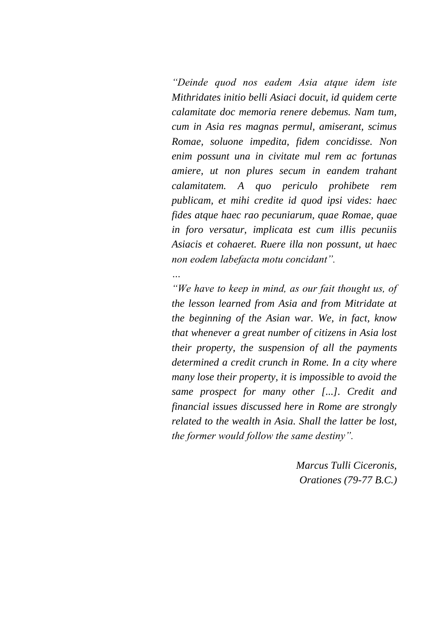*"Deinde quod nos eadem Asia atque idem iste Mithridates initio belli Asiaci docuit, id quidem certe calamitate doc memoria renere debemus. Nam tum, cum in Asia res magnas permul, amiserant, scimus Romae, soluone impedita, fidem concidisse. Non enim possunt una in civitate mul rem ac fortunas amiere, ut non plures secum in eandem trahant calamitatem. A quo periculo prohibete rem publicam, et mihi credite id quod ipsi vides: haec fides atque haec rao pecuniarum, quae Romae, quae in foro versatur, implicata est cum illis pecuniis Asiacis et cohaeret. Ruere illa non possunt, ut haec non eodem labefacta motu concidant".*

*"We have to keep in mind, as our fait thought us, of the lesson learned from Asia and from Mitridate at the beginning of the Asian war. We, in fact, know that whenever a great number of citizens in Asia lost their property, the suspension of all the payments determined a credit crunch in Rome. In a city where many lose their property, it is impossible to avoid the same prospect for many other [...]. Credit and financial issues discussed here in Rome are strongly related to the wealth in Asia. Shall the latter be lost, the former would follow the same destiny".*

*…*

*Marcus Tulli Ciceronis, Orationes (79-77 B.C.)*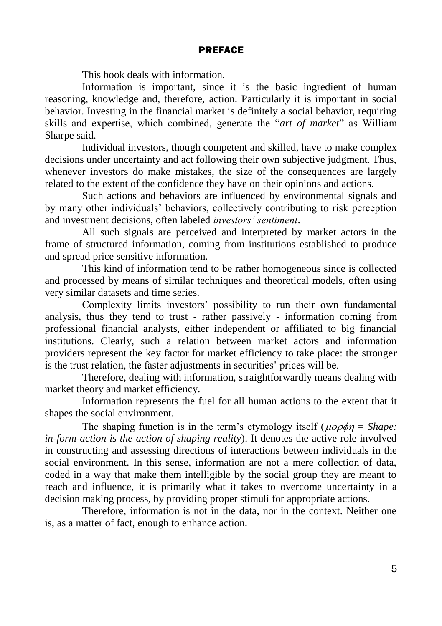## PREFACE

This book deals with information.

Information is important, since it is the basic ingredient of human reasoning, knowledge and, therefore, action. Particularly it is important in social behavior. Investing in the financial market is definitely a social behavior, requiring skills and expertise, which combined, generate the "*art of market*" as William Sharpe said.

Individual investors, though competent and skilled, have to make complex decisions under uncertainty and act following their own subjective judgment. Thus, whenever investors do make mistakes, the size of the consequences are largely related to the extent of the confidence they have on their opinions and actions.

Such actions and behaviors are influenced by environmental signals and by many other individuals' behaviors, collectively contributing to risk perception and investment decisions, often labeled *investors' sentiment*.

All such signals are perceived and interpreted by market actors in the frame of structured information, coming from institutions established to produce and spread price sensitive information.

This kind of information tend to be rather homogeneous since is collected and processed by means of similar techniques and theoretical models, often using very similar datasets and time series.

Complexity limits investors' possibility to run their own fundamental analysis, thus they tend to trust - rather passively - information coming from professional financial analysts, either independent or affiliated to big financial institutions. Clearly, such a relation between market actors and information providers represent the key factor for market efficiency to take place: the stronger is the trust relation, the faster adjustments in securities' prices will be.

Therefore, dealing with information, straightforwardly means dealing with market theory and market efficiency.

Information represents the fuel for all human actions to the extent that it shapes the social environment.

The shaping function is in the term's etymology itself ( $\mu$ o $\rho$  $\phi$ n = *Shape*: *in-form-action is the action of shaping reality*). It denotes the active role involved in constructing and assessing directions of interactions between individuals in the social environment. In this sense, information are not a mere collection of data, coded in a way that make them intelligible by the social group they are meant to reach and influence, it is primarily what it takes to overcome uncertainty in a decision making process, by providing proper stimuli for appropriate actions.

Therefore, information is not in the data, nor in the context. Neither one is, as a matter of fact, enough to enhance action.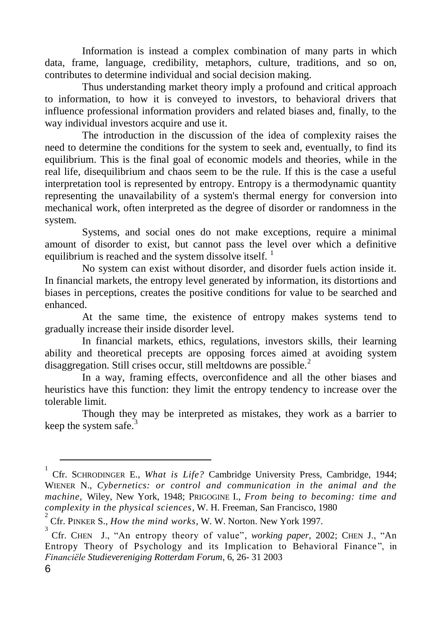Information is instead a complex combination of many parts in which data, frame, language, credibility, metaphors, culture, traditions, and so on, contributes to determine individual and social decision making.

Thus understanding market theory imply a profound and critical approach to information, to how it is conveyed to investors, to behavioral drivers that influence professional information providers and related biases and, finally, to the way individual investors acquire and use it.

The introduction in the discussion of the idea of complexity raises the need to determine the conditions for the system to seek and, eventually, to find its equilibrium. This is the final goal of economic models and theories, while in the real life, disequilibrium and chaos seem to be the rule. If this is the case a useful interpretation tool is represented by entropy. Entropy is a thermodynamic quantity representing the unavailability of a system's thermal energy for conversion into mechanical work, often interpreted as the degree of disorder or randomness in the system.

Systems, and social ones do not make exceptions, require a minimal amount of disorder to exist, but cannot pass the level over which a definitive equilibrium is reached and the system dissolve itself.  $\frac{1}{1}$ 

No system can exist without disorder, and disorder fuels action inside it. In financial markets, the entropy level generated by information, its distortions and biases in perceptions, creates the positive conditions for value to be searched and enhanced.

At the same time, the existence of entropy makes systems tend to gradually increase their inside disorder level.

In financial markets, ethics, regulations, investors skills, their learning ability and theoretical precepts are opposing forces aimed at avoiding system disaggregation. Still crises occur, still meltdowns are possible. $2^2$ 

In a way, framing effects, overconfidence and all the other biases and heuristics have this function: they limit the entropy tendency to increase over the tolerable limit.

Though they may be interpreted as mistakes, they work as a barrier to keep the system safe.<sup>3</sup>

 $\overline{a}$ 

<sup>1</sup> Cfr. SCHRODINGER E., *What is Life?* Cambridge University Press, Cambridge, 1944; WIENER N., *Cybernetics: or control and communication in the animal and the machine,* Wiley, New York, 1948; PRIGOGINE I., *From being to becoming: time and complexity in the physical sciences*, W. H. Freeman, San Francisco, 1980 2

Cfr. PINKER S., *How the mind works*, W. W. Norton. New York 1997.

<sup>3</sup> Cfr. CHEN J., "An entropy theory of value", *working paper*, 2002; CHEN J., "An Entropy Theory of Psychology and its Implication to Behavioral Finance ", in *Financiële Studievereniging Rotterdam Forum*, 6, 26- 31 2003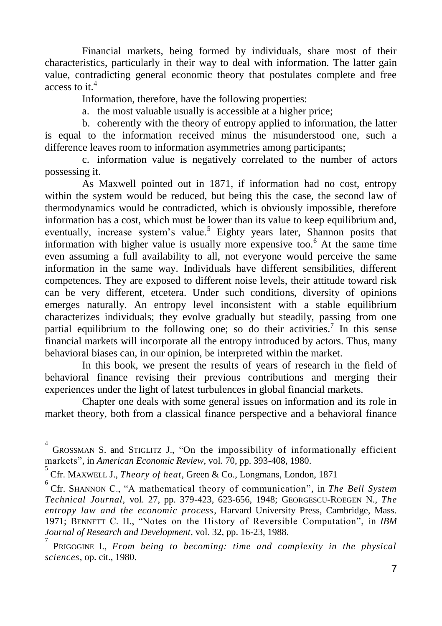Financial markets, being formed by individuals, share most of their characteristics, particularly in their way to deal with information. The latter gain value, contradicting general economic theory that postulates complete and free access to it.<sup>4</sup>

Information, therefore, have the following properties:

a. the most valuable usually is accessible at a higher price;

b. coherently with the theory of entropy applied to information, the latter is equal to the information received minus the misunderstood one, such a difference leaves room to information asymmetries among participants;

c. information value is negatively correlated to the number of actors possessing it.

As Maxwell pointed out in 1871, if information had no cost, entropy within the system would be reduced, but being this the case, the second law of thermodynamics would be contradicted, which is obviously impossible, therefore information has a cost, which must be lower than its value to keep equilibrium and, eventually, increase system's value.<sup>5</sup> Eighty years later, Shannon posits that information with higher value is usually more expensive too.<sup>6</sup> At the same time even assuming a full availability to all, not everyone would perceive the same information in the same way. Individuals have different sensibilities, different competences. They are exposed to different noise levels, their attitude toward risk can be very different, etcetera. Under such conditions, diversity of opinions emerges naturally. An entropy level inconsistent with a stable equilibrium characterizes individuals; they evolve gradually but steadily, passing from one partial equilibrium to the following one; so do their activities.<sup>7</sup> In this sense financial markets will incorporate all the entropy introduced by actors. Thus, many behavioral biases can, in our opinion, be interpreted within the market.

In this book, we present the results of years of research in the field of behavioral finance revising their previous contributions and merging their experiences under the light of latest turbulences in global financial markets.

Chapter one deals with some general issues on information and its role in market theory, both from a classical finance perspective and a behavioral finance

 $\overline{a}$ 

<sup>4</sup> GROSSMAN S. and STIGLITZ J., "On the impossibility of informationally efficient markets", in *American Economic Review*, vol. 70, pp. 393-408, 1980.

<sup>5</sup> Cfr. MAXWELL J., *Theory of heat*, Green & Co., Longmans, London, 1871

<sup>6</sup> Cfr. SHANNON C., "A mathematical theory of communication"*,* in *The Bell System Technical Journal,* vol. 27, pp. 379-423, 623-656, 1948; GEORGESCU-ROEGEN N., *The entropy law and the economic process*, Harvard University Press, Cambridge, Mass. 1971; BENNETT C. H., "Notes on the History of Reversible Computation", in *IBM Journal of Research and Development*, vol. 32, pp. 16-23, 1988.

<sup>7</sup> PRIGOGINE I., *From being to becoming: time and complexity in the physical sciences*, op. cit., 1980.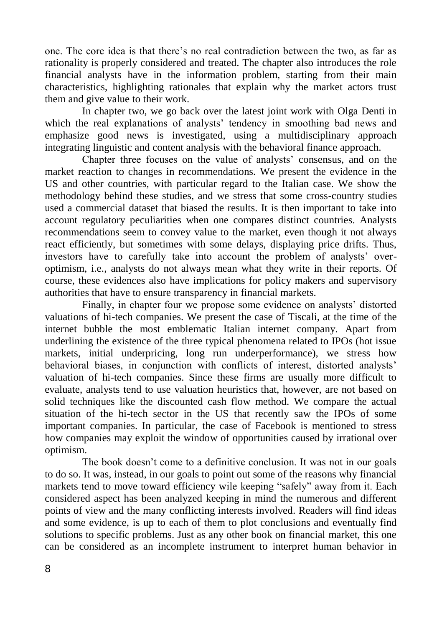one. The core idea is that there's no real contradiction between the two, as far as rationality is properly considered and treated. The chapter also introduces the role financial analysts have in the information problem, starting from their main characteristics, highlighting rationales that explain why the market actors trust them and give value to their work.

In chapter two, we go back over the latest joint work with Olga Denti in which the real explanations of analysts' tendency in smoothing bad news and emphasize good news is investigated, using a multidisciplinary approach integrating linguistic and content analysis with the behavioral finance approach.

Chapter three focuses on the value of analysts' consensus, and on the market reaction to changes in recommendations. We present the evidence in the US and other countries, with particular regard to the Italian case. We show the methodology behind these studies, and we stress that some cross-country studies used a commercial dataset that biased the results. It is then important to take into account regulatory peculiarities when one compares distinct countries. Analysts recommendations seem to convey value to the market, even though it not always react efficiently, but sometimes with some delays, displaying price drifts. Thus, investors have to carefully take into account the problem of analysts' overoptimism, i.e., analysts do not always mean what they write in their reports. Of course, these evidences also have implications for policy makers and supervisory authorities that have to ensure transparency in financial markets.

Finally, in chapter four we propose some evidence on analysts' distorted valuations of hi-tech companies. We present the case of Tiscali, at the time of the internet bubble the most emblematic Italian internet company. Apart from underlining the existence of the three typical phenomena related to IPOs (hot issue markets, initial underpricing, long run underperformance), we stress how behavioral biases, in conjunction with conflicts of interest, distorted analysts' valuation of hi-tech companies. Since these firms are usually more difficult to evaluate, analysts tend to use valuation heuristics that, however, are not based on solid techniques like the discounted cash flow method. We compare the actual situation of the hi-tech sector in the US that recently saw the IPOs of some important companies. In particular, the case of Facebook is mentioned to stress how companies may exploit the window of opportunities caused by irrational over optimism.

The book doesn't come to a definitive conclusion. It was not in our goals to do so. It was, instead, in our goals to point out some of the reasons why financial markets tend to move toward efficiency wile keeping "safely" away from it. Each considered aspect has been analyzed keeping in mind the numerous and different points of view and the many conflicting interests involved. Readers will find ideas and some evidence, is up to each of them to plot conclusions and eventually find solutions to specific problems. Just as any other book on financial market, this one can be considered as an incomplete instrument to interpret human behavior in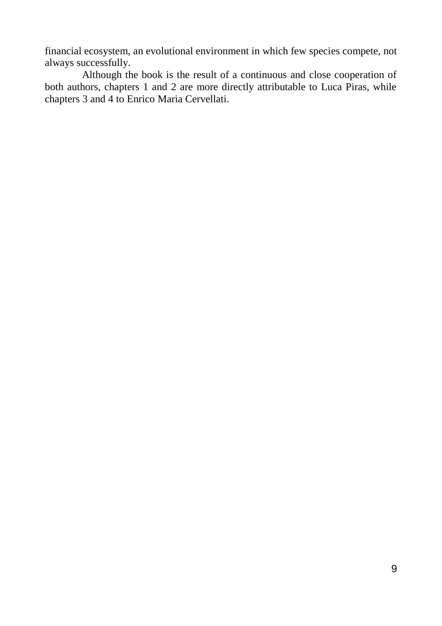financial ecosystem, an evolutional environment in which few species compete, not always successfully.

Although the book is the result of a continuous and close cooperation of both authors, chapters 1 and 2 are more directly attributable to Luca Piras, while chapters 3 and 4 to Enrico Maria Cervellati.